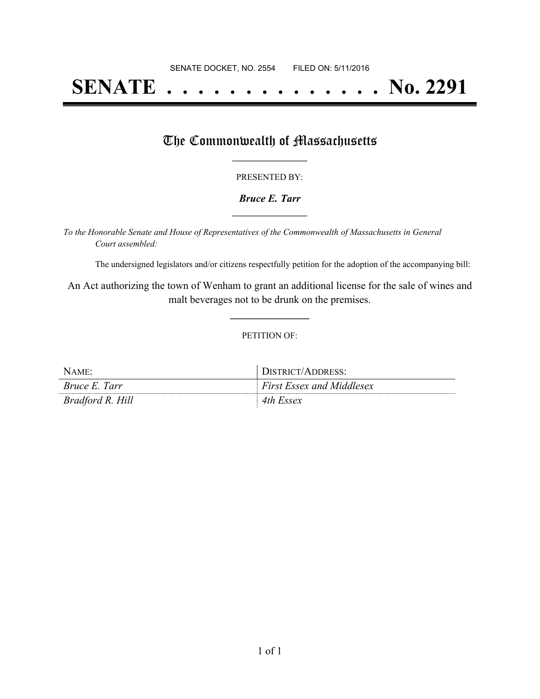# **SENATE . . . . . . . . . . . . . . No. 2291**

## The Commonwealth of Massachusetts

#### PRESENTED BY:

#### *Bruce E. Tarr* **\_\_\_\_\_\_\_\_\_\_\_\_\_\_\_\_\_**

*To the Honorable Senate and House of Representatives of the Commonwealth of Massachusetts in General Court assembled:*

The undersigned legislators and/or citizens respectfully petition for the adoption of the accompanying bill:

An Act authorizing the town of Wenham to grant an additional license for the sale of wines and malt beverages not to be drunk on the premises.

**\_\_\_\_\_\_\_\_\_\_\_\_\_\_\_**

#### PETITION OF:

| NAME:                | DISTRICT/ADDRESS:                |
|----------------------|----------------------------------|
| <i>Bruce E. Tarr</i> | <b>First Essex and Middlesex</b> |
| Bradford R. Hill     | 4th Essex                        |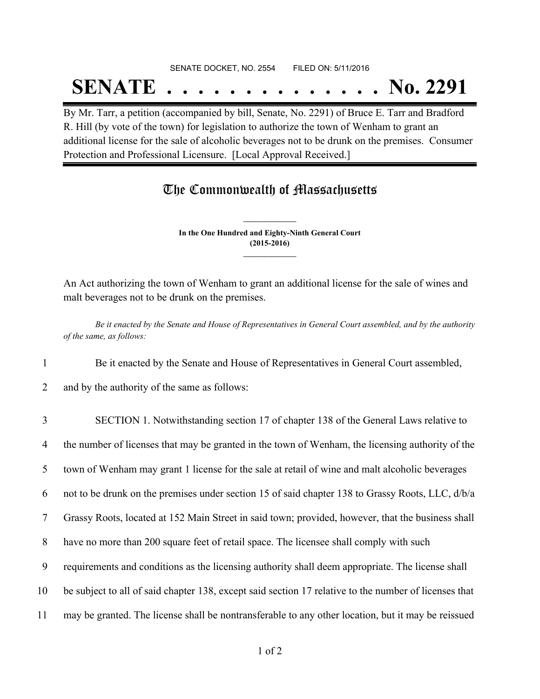### SENATE DOCKET, NO. 2554 FILED ON: 5/11/2016

## **SENATE . . . . . . . . . . . . . . No. 2291**

By Mr. Tarr, a petition (accompanied by bill, Senate, No. 2291) of Bruce E. Tarr and Bradford R. Hill (by vote of the town) for legislation to authorize the town of Wenham to grant an additional license for the sale of alcoholic beverages not to be drunk on the premises. Consumer Protection and Professional Licensure. [Local Approval Received.]

## The Commonwealth of Massachusetts

**In the One Hundred and Eighty-Ninth General Court (2015-2016) \_\_\_\_\_\_\_\_\_\_\_\_\_\_\_**

**\_\_\_\_\_\_\_\_\_\_\_\_\_\_\_**

An Act authorizing the town of Wenham to grant an additional license for the sale of wines and malt beverages not to be drunk on the premises.

Be it enacted by the Senate and House of Representatives in General Court assembled, and by the authority *of the same, as follows:*

1 Be it enacted by the Senate and House of Representatives in General Court assembled,

2 and by the authority of the same as follows:

 SECTION 1. Notwithstanding section 17 of chapter 138 of the General Laws relative to the number of licenses that may be granted in the town of Wenham, the licensing authority of the town of Wenham may grant 1 license for the sale at retail of wine and malt alcoholic beverages not to be drunk on the premises under section 15 of said chapter 138 to Grassy Roots, LLC, d/b/a Grassy Roots, located at 152 Main Street in said town; provided, however, that the business shall have no more than 200 square feet of retail space. The licensee shall comply with such requirements and conditions as the licensing authority shall deem appropriate. The license shall be subject to all of said chapter 138, except said section 17 relative to the number of licenses that may be granted. The license shall be nontransferable to any other location, but it may be reissued